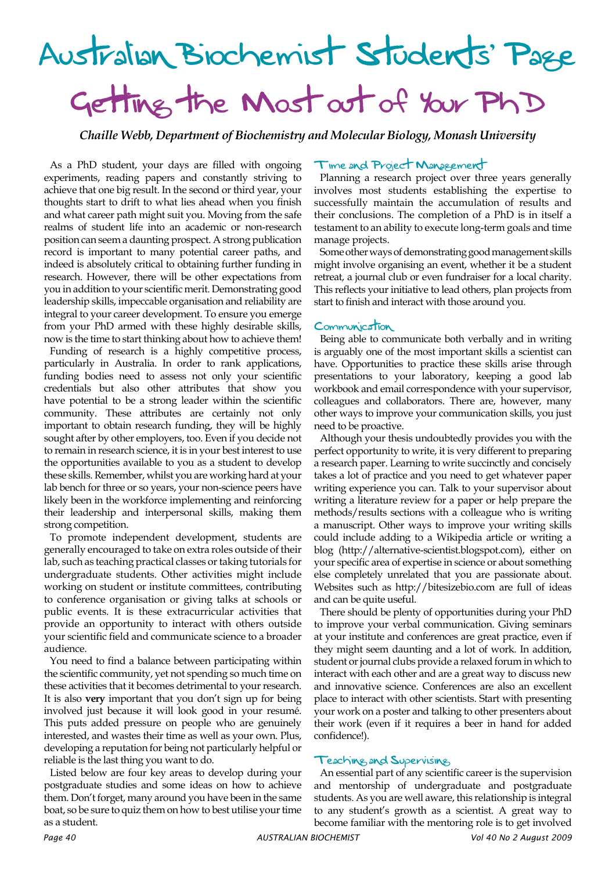# Australian Biochemist Students' Page Getting the Most out of Your PhD

*Chaille Webb, Department of Biochemistry and Molecular Biology, Monash University*

As a PhD student, your days are filled with ongoing experiments, reading papers and constantly striving to achieve that one big result. In the second or third year, your thoughts start to drift to what lies ahead when you finish and what career path might suit you. Moving from the safe realms of student life into an academic or non-research position can seem a daunting prospect. A strong publication record is important to many potential career paths, and indeed is absolutely critical to obtaining further funding in research. However, there will be other expectations from you in addition to your scientific merit. Demonstrating good leadership skills, impeccable organisation and reliability are integral to your career development. To ensure you emerge from your PhD armed with these highly desirable skills, now is the time to start thinking about how to achieve them!

Funding of research is a highly competitive process, particularly in Australia. In order to rank applications, funding bodies need to assess not only your scientific credentials but also other attributes that show you have potential to be a strong leader within the scientific community. These attributes are certainly not only important to obtain research funding, they will be highly sought after by other employers, too. Even if you decide not to remain in research science, it is in your best interest to use the opportunities available to you as a student to develop these skills. Remember, whilst you are working hard at your lab bench for three or so years, your non-science peers have likely been in the workforce implementing and reinforcing their leadership and interpersonal skills, making them strong competition.

To promote independent development, students are generally encouraged to take on extra roles outside of their lab, such as teaching practical classes or taking tutorials for undergraduate students. Other activities might include working on student or institute committees, contributing to conference organisation or giving talks at schools or public events. It is these extracurricular activities that provide an opportunity to interact with others outside your scientific field and communicate science to a broader audience.

You need to find a balance between participating within the scientific community, yet not spending so much time on these activities that it becomes detrimental to your research. It is also **very** important that you don't sign up for being involved just because it will look good in your resumé. This puts added pressure on people who are genuinely interested, and wastes their time as well as your own. Plus, developing a reputation for being not particularly helpful or reliable is the last thing you want to do.

Listed below are four key areas to develop during your postgraduate studies and some ideas on how to achieve them. Don't forget, many around you have been in the same boat, so be sure to quiz them on how to best utilise your time as a student.

#### Time and Project Management

Planning a research project over three years generally involves most students establishing the expertise to successfully maintain the accumulation of results and their conclusions. The completion of a PhD is in itself a testament to an ability to execute long-term goals and time manage projects.

Some other ways of demonstrating good management skills might involve organising an event, whether it be a student retreat, a journal club or even fundraiser for a local charity. This reflects your initiative to lead others, plan projects from start to finish and interact with those around you.

### Communication

Being able to communicate both verbally and in writing is arguably one of the most important skills a scientist can have. Opportunities to practice these skills arise through presentations to your laboratory, keeping a good lab workbook and email correspondence with your supervisor, colleagues and collaborators. There are, however, many other ways to improve your communication skills, you just need to be proactive.

Although your thesis undoubtedly provides you with the perfect opportunity to write, it is very different to preparing a research paper. Learning to write succinctly and concisely takes a lot of practice and you need to get whatever paper writing experience you can. Talk to your supervisor about writing a literature review for a paper or help prepare the methods/results sections with a colleague who is writing a manuscript. Other ways to improve your writing skills could include adding to a Wikipedia article or writing a blog (http://alternative-scientist.blogspot.com), either on your specific area of expertise in science or about something else completely unrelated that you are passionate about. Websites such as http://bitesizebio.com are full of ideas and can be quite useful.

There should be plenty of opportunities during your PhD to improve your verbal communication. Giving seminars at your institute and conferences are great practice, even if they might seem daunting and a lot of work. In addition, student or journal clubs provide a relaxed forum in which to interact with each other and are a great way to discuss new and innovative science. Conferences are also an excellent place to interact with other scientists. Start with presenting your work on a poster and talking to other presenters about their work (even if it requires a beer in hand for added confidence!).

#### Teaching and Supervising

An essential part of any scientific career is the supervision and mentorship of undergraduate and postgraduate students. As you are well aware, this relationship is integral to any student's growth as a scientist. A great way to become familiar with the mentoring role is to get involved